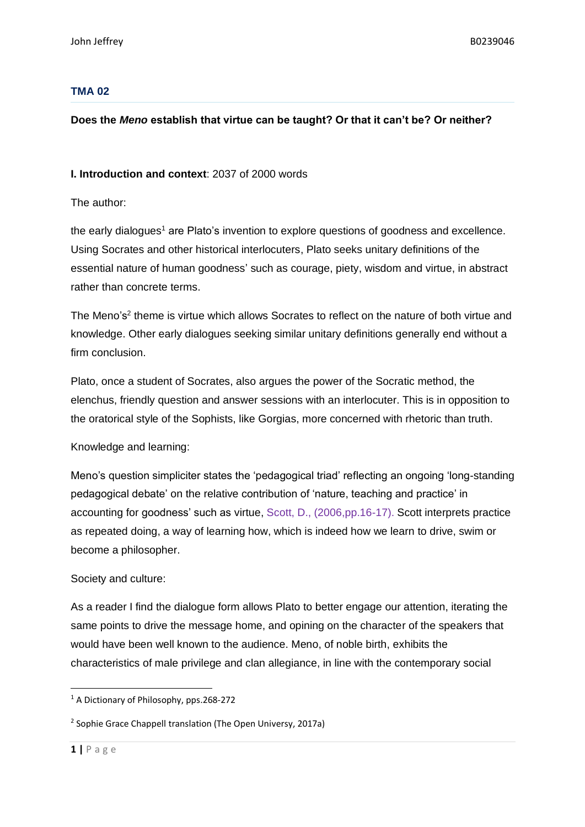#### **TMA 02**

#### **Does the** *Meno* **establish that virtue can be taught? Or that it can't be? Or neither?**

**I. Introduction and context**: 2037 of 2000 words

The author:

the early dialogues<sup>1</sup> are Plato's invention to explore questions of goodness and excellence. Using Socrates and other historical interlocuters, Plato seeks unitary definitions of the essential nature of human goodness' such as courage, piety, wisdom and virtue, in abstract rather than concrete terms.

The Meno's<sup>2</sup> theme is virtue which allows Socrates to reflect on the nature of both virtue and knowledge. Other early dialogues seeking similar unitary definitions generally end without a firm conclusion.

Plato, once a student of Socrates, also argues the power of the Socratic method, the elenchus, friendly question and answer sessions with an interlocuter. This is in opposition to the oratorical style of the Sophists, like Gorgias, more concerned with rhetoric than truth.

Knowledge and learning:

Meno's question simpliciter states the 'pedagogical triad' reflecting an ongoing 'long-standing pedagogical debate' on the relative contribution of 'nature, teaching and practice' in accounting for goodness' such as virtue, Scott, D., (2006,pp.16-17). Scott interprets practice as repeated doing, a way of learning how, which is indeed how we learn to drive, swim or become a philosopher.

#### Society and culture:

As a reader I find the dialogue form allows Plato to better engage our attention, iterating the same points to drive the message home, and opining on the character of the speakers that would have been well known to the audience. Meno, of noble birth, exhibits the characteristics of male privilege and clan allegiance, in line with the contemporary social

<sup>&</sup>lt;sup>1</sup> A Dictionary of Philosophy, pps.268-272

<sup>&</sup>lt;sup>2</sup> Sophie Grace Chappell translation (The Open Universy, 2017a)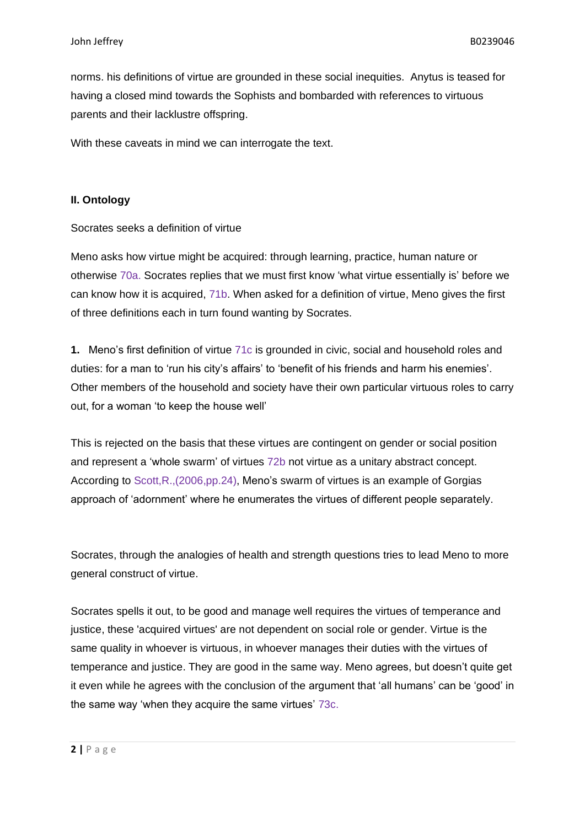norms. his definitions of virtue are grounded in these social inequities. Anytus is teased for having a closed mind towards the Sophists and bombarded with references to virtuous parents and their lacklustre offspring.

With these caveats in mind we can interrogate the text.

#### **II. Ontology**

Socrates seeks a definition of virtue

Meno asks how virtue might be acquired: through learning, practice, human nature or otherwise 70a. Socrates replies that we must first know 'what virtue essentially is' before we can know how it is acquired, 71b. When asked for a definition of virtue, Meno gives the first of three definitions each in turn found wanting by Socrates.

**1.** Meno's first definition of virtue 71c is grounded in civic, social and household roles and duties: for a man to 'run his city's affairs' to 'benefit of his friends and harm his enemies'. Other members of the household and society have their own particular virtuous roles to carry out, for a woman 'to keep the house well'

This is rejected on the basis that these virtues are contingent on gender or social position and represent a 'whole swarm' of virtues 72b not virtue as a unitary abstract concept. According to Scott,R.,(2006,pp.24), Meno's swarm of virtues is an example of Gorgias approach of 'adornment' where he enumerates the virtues of different people separately.

Socrates, through the analogies of health and strength questions tries to lead Meno to more general construct of virtue.

Socrates spells it out, to be good and manage well requires the virtues of temperance and justice, these 'acquired virtues' are not dependent on social role or gender. Virtue is the same quality in whoever is virtuous, in whoever manages their duties with the virtues of temperance and justice. They are good in the same way. Meno agrees, but doesn't quite get it even while he agrees with the conclusion of the argument that 'all humans' can be 'good' in the same way 'when they acquire the same virtues' 73c.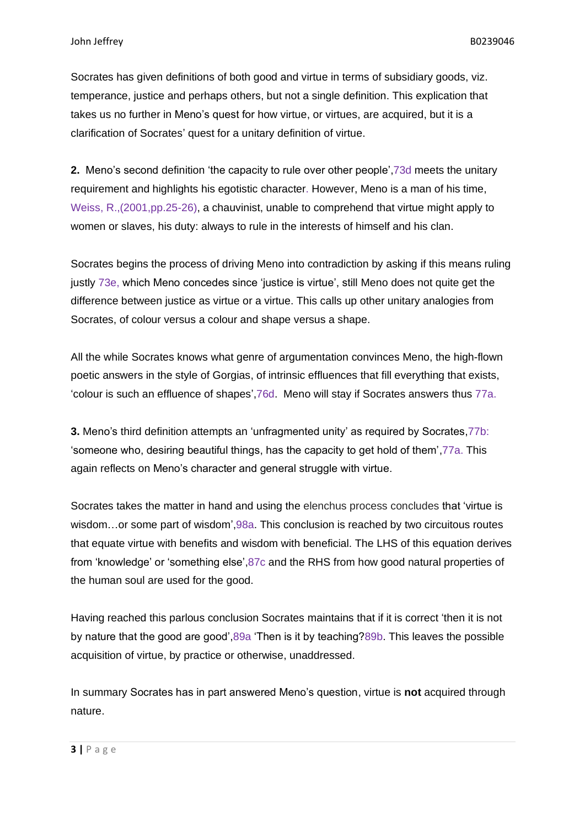Socrates has given definitions of both good and virtue in terms of subsidiary goods, viz. temperance, justice and perhaps others, but not a single definition. This explication that takes us no further in Meno's quest for how virtue, or virtues, are acquired, but it is a clarification of Socrates' quest for a unitary definition of virtue.

**2.** Meno's second definition 'the capacity to rule over other people',73d meets the unitary requirement and highlights his egotistic character. However, Meno is a man of his time, Weiss, R.,(2001,pp.25-26), a chauvinist, unable to comprehend that virtue might apply to women or slaves, his duty: always to rule in the interests of himself and his clan.

Socrates begins the process of driving Meno into contradiction by asking if this means ruling justly 73e, which Meno concedes since 'justice is virtue', still Meno does not quite get the difference between justice as virtue or a virtue. This calls up other unitary analogies from Socrates, of colour versus a colour and shape versus a shape.

All the while Socrates knows what genre of argumentation convinces Meno, the high-flown poetic answers in the style of Gorgias, of intrinsic effluences that fill everything that exists, 'colour is such an effluence of shapes',76d. Meno will stay if Socrates answers thus 77a.

**3.** Meno's third definition attempts an 'unfragmented unity' as required by Socrates,77b: 'someone who, desiring beautiful things, has the capacity to get hold of them',77a. This again reflects on Meno's character and general struggle with virtue.

Socrates takes the matter in hand and using the elenchus process concludes that 'virtue is wisdom…or some part of wisdom',98a. This conclusion is reached by two circuitous routes that equate virtue with benefits and wisdom with beneficial. The LHS of this equation derives from 'knowledge' or 'something else',87c and the RHS from how good natural properties of the human soul are used for the good.

Having reached this parlous conclusion Socrates maintains that if it is correct 'then it is not by nature that the good are good',89a 'Then is it by teaching?89b. This leaves the possible acquisition of virtue, by practice or otherwise, unaddressed.

In summary Socrates has in part answered Meno's question, virtue is **not** acquired through nature.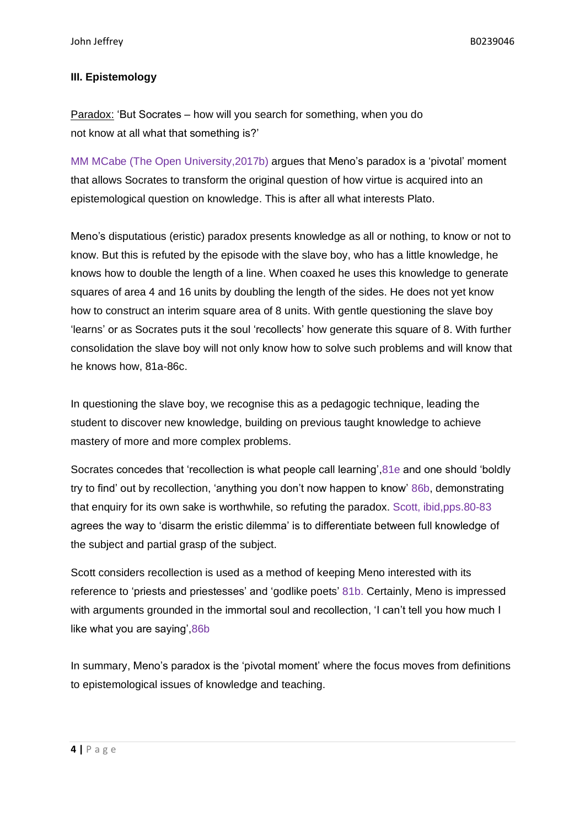## **III. Epistemology**

Paradox: 'But Socrates – how will you search for something, when you do not know at all what that something is?'

MM MCabe (The Open University,2017b) argues that Meno's paradox is a 'pivotal' moment that allows Socrates to transform the original question of how virtue is acquired into an epistemological question on knowledge. This is after all what interests Plato.

Meno's disputatious (eristic) paradox presents knowledge as all or nothing, to know or not to know. But this is refuted by the episode with the slave boy, who has a little knowledge, he knows how to double the length of a line. When coaxed he uses this knowledge to generate squares of area 4 and 16 units by doubling the length of the sides. He does not yet know how to construct an interim square area of 8 units. With gentle questioning the slave boy 'learns' or as Socrates puts it the soul 'recollects' how generate this square of 8. With further consolidation the slave boy will not only know how to solve such problems and will know that he knows how, 81a-86c.

In questioning the slave boy, we recognise this as a pedagogic technique, leading the student to discover new knowledge, building on previous taught knowledge to achieve mastery of more and more complex problems.

Socrates concedes that 'recollection is what people call learning',81e and one should 'boldly try to find' out by recollection, 'anything you don't now happen to know' 86b, demonstrating that enquiry for its own sake is worthwhile, so refuting the paradox. Scott, ibid,pps.80-83 agrees the way to 'disarm the eristic dilemma' is to differentiate between full knowledge of the subject and partial grasp of the subject.

Scott considers recollection is used as a method of keeping Meno interested with its reference to 'priests and priestesses' and 'godlike poets' 81b. Certainly, Meno is impressed with arguments grounded in the immortal soul and recollection, 'I can't tell you how much I like what you are saying',86b

In summary, Meno's paradox is the 'pivotal moment' where the focus moves from definitions to epistemological issues of knowledge and teaching.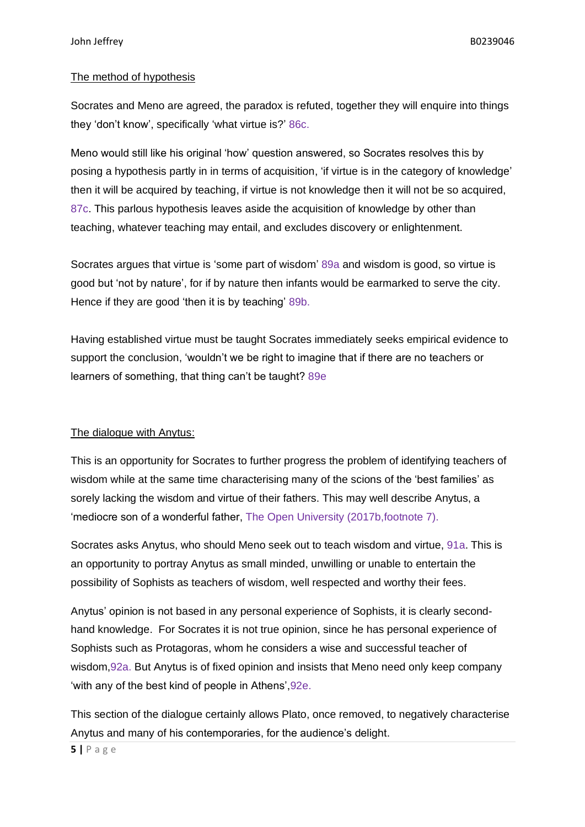#### The method of hypothesis

Socrates and Meno are agreed, the paradox is refuted, together they will enquire into things they 'don't know', specifically 'what virtue is?' 86c.

Meno would still like his original 'how' question answered, so Socrates resolves this by posing a hypothesis partly in in terms of acquisition, 'if virtue is in the category of knowledge' then it will be acquired by teaching, if virtue is not knowledge then it will not be so acquired, 87c. This parlous hypothesis leaves aside the acquisition of knowledge by other than teaching, whatever teaching may entail, and excludes discovery or enlightenment.

Socrates argues that virtue is 'some part of wisdom' 89a and wisdom is good, so virtue is good but 'not by nature', for if by nature then infants would be earmarked to serve the city. Hence if they are good 'then it is by teaching' 89b.

Having established virtue must be taught Socrates immediately seeks empirical evidence to support the conclusion, 'wouldn't we be right to imagine that if there are no teachers or learners of something, that thing can't be taught? 89e

### The dialogue with Anytus:

This is an opportunity for Socrates to further progress the problem of identifying teachers of wisdom while at the same time characterising many of the scions of the 'best families' as sorely lacking the wisdom and virtue of their fathers. This may well describe Anytus, a 'mediocre son of a wonderful father, The Open University (2017b,footnote 7).

Socrates asks Anytus, who should Meno seek out to teach wisdom and virtue, 91a. This is an opportunity to portray Anytus as small minded, unwilling or unable to entertain the possibility of Sophists as teachers of wisdom, well respected and worthy their fees.

Anytus' opinion is not based in any personal experience of Sophists, it is clearly secondhand knowledge. For Socrates it is not true opinion, since he has personal experience of Sophists such as Protagoras, whom he considers a wise and successful teacher of wisdom,92a. But Anytus is of fixed opinion and insists that Meno need only keep company 'with any of the best kind of people in Athens',92e.

This section of the dialogue certainly allows Plato, once removed, to negatively characterise Anytus and many of his contemporaries, for the audience's delight.

**5 |** P a g e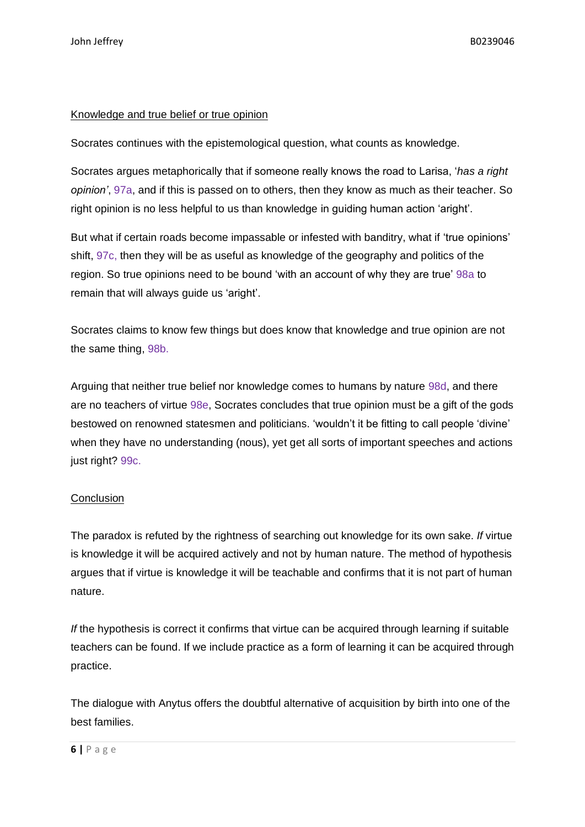## Knowledge and true belief or true opinion

Socrates continues with the epistemological question, what counts as knowledge.

Socrates argues metaphorically that if someone really knows the road to Larisa, '*has a right opinion'*, 97a, and if this is passed on to others, then they know as much as their teacher. So right opinion is no less helpful to us than knowledge in guiding human action 'aright'.

But what if certain roads become impassable or infested with banditry, what if 'true opinions' shift, 97c, then they will be as useful as knowledge of the geography and politics of the region. So true opinions need to be bound 'with an account of why they are true' 98a to remain that will always guide us 'aright'.

Socrates claims to know few things but does know that knowledge and true opinion are not the same thing, 98b.

Arguing that neither true belief nor knowledge comes to humans by nature 98d, and there are no teachers of virtue 98e, Socrates concludes that true opinion must be a gift of the gods bestowed on renowned statesmen and politicians. 'wouldn't it be fitting to call people 'divine' when they have no understanding (nous), yet get all sorts of important speeches and actions just right? 99c.

# **Conclusion**

The paradox is refuted by the rightness of searching out knowledge for its own sake. *If* virtue is knowledge it will be acquired actively and not by human nature. The method of hypothesis argues that if virtue is knowledge it will be teachable and confirms that it is not part of human nature.

*If* the hypothesis is correct it confirms that virtue can be acquired through learning if suitable teachers can be found. If we include practice as a form of learning it can be acquired through practice.

The dialogue with Anytus offers the doubtful alternative of acquisition by birth into one of the best families.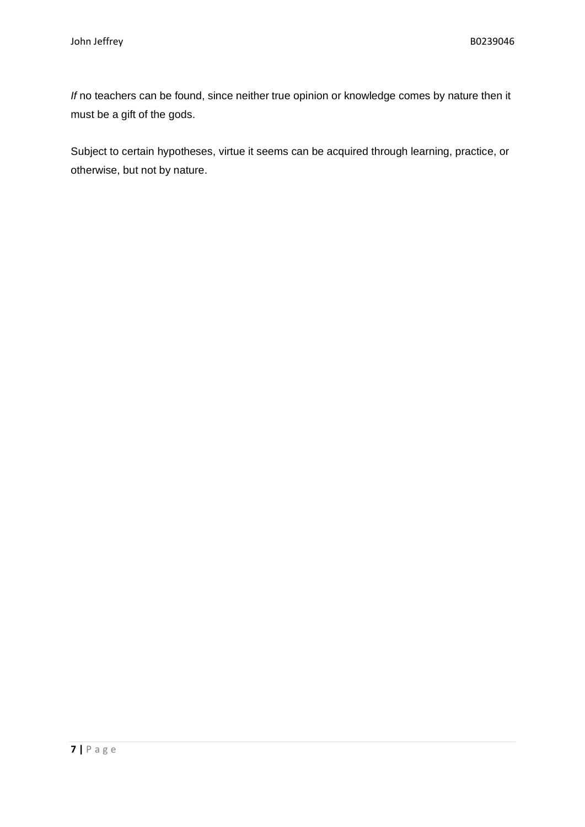*If* no teachers can be found, since neither true opinion or knowledge comes by nature then it must be a gift of the gods.

Subject to certain hypotheses, virtue it seems can be acquired through learning, practice, or otherwise, but not by nature.